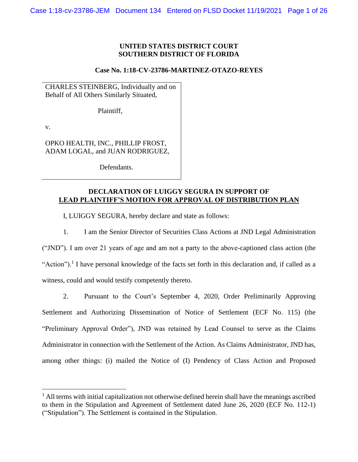# **UNITED STATES DISTRICT COURT SOUTHERN DISTRICT OF FLORIDA**

### **Case No. 1:18-CV-23786-MARTINEZ-OTAZO-REYES**

CHARLES STEINBERG, Individually and on Behalf of All Others Similarly Situated,

Plaintiff,

v.

OPKO HEALTH, INC., PHILLIP FROST, ADAM LOGAL, and JUAN RODRIGUEZ,

Defendants.

# **DECLARATION OF LUIGGY SEGURA IN SUPPORT OF LEAD PLAINTIFF'S MOTION FOR APPROVAL OF DISTRIBUTION PLAN**

I, LUIGGY SEGURA, hereby declare and state as follows:

1. I am the Senior Director of Securities Class Actions at JND Legal Administration ("JND"). I am over 21 years of age and am not a party to the above-captioned class action (the "Action").<sup>1</sup> I have personal knowledge of the facts set forth in this declaration and, if called as a witness, could and would testify competently thereto.

2. Pursuant to the Court's September 4, 2020, Order Preliminarily Approving Settlement and Authorizing Dissemination of Notice of Settlement (ECF No. 115) (the "Preliminary Approval Order"), JND was retained by Lead Counsel to serve as the Claims Administrator in connection with the Settlement of the Action. As Claims Administrator, JND has, among other things: (i) mailed the Notice of (I) Pendency of Class Action and Proposed

 $<sup>1</sup>$  All terms with initial capitalization not otherwise defined herein shall have the meanings ascribed</sup> to them in the Stipulation and Agreement of Settlement dated June 26, 2020 (ECF No. 112-1) ("Stipulation"). The Settlement is contained in the Stipulation.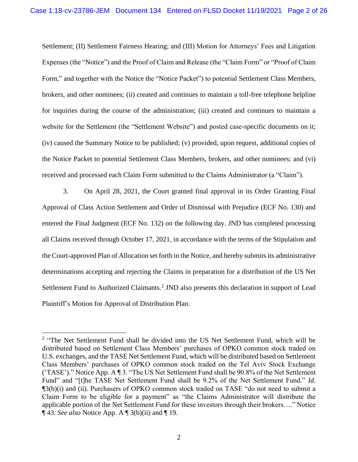Settlement; (II) Settlement Fairness Hearing; and (III) Motion for Attorneys' Fees and Litigation Expenses (the "Notice") and the Proof of Claim and Release (the "Claim Form" or "Proof of Claim Form," and together with the Notice the "Notice Packet") to potential Settlement Class Members, brokers, and other nominees; (ii) created and continues to maintain a toll-free telephone helpline for inquiries during the course of the administration; (iii) created and continues to maintain a website for the Settlement (the "Settlement Website") and posted case-specific documents on it; (iv) caused the Summary Notice to be published; (v) provided, upon request, additional copies of the Notice Packet to potential Settlement Class Members, brokers, and other nominees; and (vi) received and processed each Claim Form submitted to the Claims Administrator (a "Claim").

3. On April 28, 2021, the Court granted final approval in its Order Granting Final Approval of Class Action Settlement and Order of Dismissal with Prejudice (ECF No. 130) and entered the Final Judgment (ECF No. 132) on the following day. JND has completed processing all Claims received through October 17, 2021, in accordance with the terms of the Stipulation and the Court-approved Plan of Allocation set forth in the Notice, and hereby submits its administrative determinations accepting and rejecting the Claims in preparation for a distribution of the US Net Settlement Fund to Authorized Claimants.<sup>2</sup> JND also presents this declaration in support of Lead Plaintiff's Motion for Approval of Distribution Plan.

<sup>&</sup>lt;sup>2</sup> "The Net Settlement Fund shall be divided into the US Net Settlement Fund, which will be distributed based on Settlement Class Members' purchases of OPKO common stock traded on U.S. exchanges, and the TASE Net Settlement Fund, which will be distributed based on Settlement Class Members' purchases of OPKO common stock traded on the Tel Aviv Stock Exchange ('TASE')." Notice App. A ¶ 3. "The US Net Settlement Fund shall be 90.8% of the Net Settlement Fund" and "[t]he TASE Net Settlement Fund shall be 9.2% of the Net Settlement Fund." *Id*. ¶3(b)(i) and (ii). Purchasers of OPKO common stock traded on TASE "do not need to submit a Claim Form to be eligible for a payment" as "the Claims Administrator will distribute the applicable portion of the Net Settlement Fund for these investors through their brokers…." Notice ¶ 43. *See also* Notice App. A ¶ 3(b)(ii) and ¶ 19.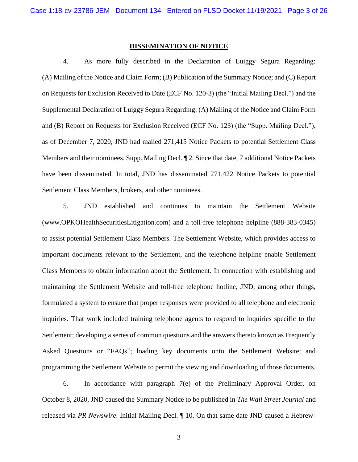#### **DISSEMINATION OF NOTICE**

4. As more fully described in the Declaration of Luiggy Segura Regarding: (A) Mailing of the Notice and Claim Form; (B) Publication of the Summary Notice; and (C) Report on Requests for Exclusion Received to Date (ECF No. 120-3) (the "Initial Mailing Decl.") and the Supplemental Declaration of Luiggy Segura Regarding: (A) Mailing of the Notice and Claim Form and (B) Report on Requests for Exclusion Received (ECF No. 123) (the "Supp. Mailing Decl."), as of December 7, 2020, JND had mailed 271,415 Notice Packets to potential Settlement Class Members and their nominees. Supp. Mailing Decl.  $\P$  2. Since that date, 7 additional Notice Packets have been disseminated. In total, JND has disseminated 271,422 Notice Packets to potential Settlement Class Members, brokers, and other nominees.

5. JND established and continues to maintain the Settlement Website (www.OPKOHealthSecuritiesLitigation.com) and a toll-free telephone helpline (888-383-0345) to assist potential Settlement Class Members. The Settlement Website, which provides access to important documents relevant to the Settlement, and the telephone helpline enable Settlement Class Members to obtain information about the Settlement. In connection with establishing and maintaining the Settlement Website and toll-free telephone hotline, JND, among other things, formulated a system to ensure that proper responses were provided to all telephone and electronic inquiries. That work included training telephone agents to respond to inquiries specific to the Settlement; developing a series of common questions and the answers thereto known as Frequently Asked Questions or "FAQs"; loading key documents onto the Settlement Website; and programming the Settlement Website to permit the viewing and downloading of those documents.

6. In accordance with paragraph 7(e) of the Preliminary Approval Order, on October 8, 2020, JND caused the Summary Notice to be published in *The Wall Street Journal* and released via *PR Newswire*. Initial Mailing Decl. ¶ 10. On that same date JND caused a Hebrew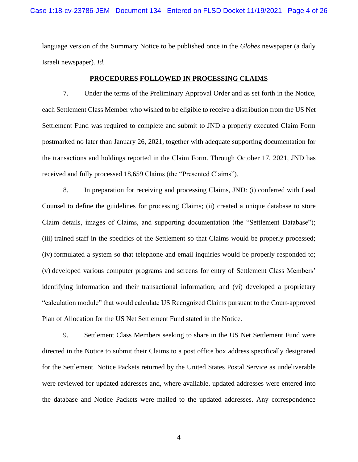language version of the Summary Notice to be published once in the *Globes* newspaper (a daily Israeli newspaper)*. Id*.

# **PROCEDURES FOLLOWED IN PROCESSING CLAIMS**

7. Under the terms of the Preliminary Approval Order and as set forth in the Notice, each Settlement Class Member who wished to be eligible to receive a distribution from the US Net Settlement Fund was required to complete and submit to JND a properly executed Claim Form postmarked no later than January 26, 2021, together with adequate supporting documentation for the transactions and holdings reported in the Claim Form. Through October 17, 2021, JND has received and fully processed 18,659 Claims (the "Presented Claims").

8. In preparation for receiving and processing Claims, JND: (i) conferred with Lead Counsel to define the guidelines for processing Claims; (ii) created a unique database to store Claim details, images of Claims, and supporting documentation (the "Settlement Database"); (iii) trained staff in the specifics of the Settlement so that Claims would be properly processed; (iv) formulated a system so that telephone and email inquiries would be properly responded to; (v) developed various computer programs and screens for entry of Settlement Class Members' identifying information and their transactional information; and (vi) developed a proprietary "calculation module" that would calculate US Recognized Claims pursuant to the Court-approved Plan of Allocation for the US Net Settlement Fund stated in the Notice.

9. Settlement Class Members seeking to share in the US Net Settlement Fund were directed in the Notice to submit their Claims to a post office box address specifically designated for the Settlement. Notice Packets returned by the United States Postal Service as undeliverable were reviewed for updated addresses and, where available, updated addresses were entered into the database and Notice Packets were mailed to the updated addresses. Any correspondence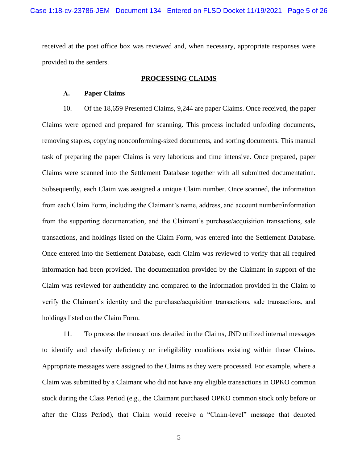received at the post office box was reviewed and, when necessary, appropriate responses were provided to the senders.

#### **PROCESSING CLAIMS**

# **A. Paper Claims**

10. Of the 18,659 Presented Claims, 9,244 are paper Claims. Once received, the paper Claims were opened and prepared for scanning. This process included unfolding documents, removing staples, copying nonconforming-sized documents, and sorting documents. This manual task of preparing the paper Claims is very laborious and time intensive. Once prepared, paper Claims were scanned into the Settlement Database together with all submitted documentation. Subsequently, each Claim was assigned a unique Claim number. Once scanned, the information from each Claim Form, including the Claimant's name, address, and account number/information from the supporting documentation, and the Claimant's purchase/acquisition transactions, sale transactions, and holdings listed on the Claim Form, was entered into the Settlement Database. Once entered into the Settlement Database, each Claim was reviewed to verify that all required information had been provided. The documentation provided by the Claimant in support of the Claim was reviewed for authenticity and compared to the information provided in the Claim to verify the Claimant's identity and the purchase/acquisition transactions, sale transactions, and holdings listed on the Claim Form.

11. To process the transactions detailed in the Claims, JND utilized internal messages to identify and classify deficiency or ineligibility conditions existing within those Claims. Appropriate messages were assigned to the Claims as they were processed. For example, where a Claim was submitted by a Claimant who did not have any eligible transactions in OPKO common stock during the Class Period (e.g., the Claimant purchased OPKO common stock only before or after the Class Period), that Claim would receive a "Claim-level" message that denoted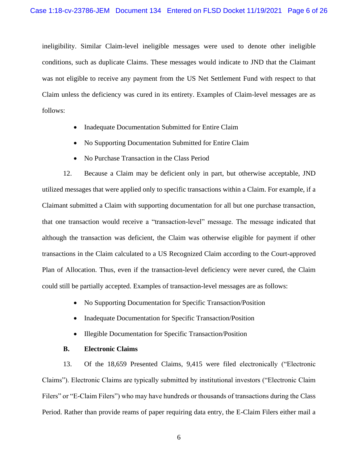ineligibility. Similar Claim-level ineligible messages were used to denote other ineligible conditions, such as duplicate Claims. These messages would indicate to JND that the Claimant was not eligible to receive any payment from the US Net Settlement Fund with respect to that Claim unless the deficiency was cured in its entirety. Examples of Claim-level messages are as follows:

- Inadequate Documentation Submitted for Entire Claim
- No Supporting Documentation Submitted for Entire Claim
- No Purchase Transaction in the Class Period

12. Because a Claim may be deficient only in part, but otherwise acceptable, JND utilized messages that were applied only to specific transactions within a Claim. For example, if a Claimant submitted a Claim with supporting documentation for all but one purchase transaction, that one transaction would receive a "transaction-level" message. The message indicated that although the transaction was deficient, the Claim was otherwise eligible for payment if other transactions in the Claim calculated to a US Recognized Claim according to the Court-approved Plan of Allocation. Thus, even if the transaction-level deficiency were never cured, the Claim could still be partially accepted. Examples of transaction-level messages are as follows:

- No Supporting Documentation for Specific Transaction/Position
- Inadequate Documentation for Specific Transaction/Position
- Illegible Documentation for Specific Transaction/Position
- **B. Electronic Claims**

13. Of the 18,659 Presented Claims, 9,415 were filed electronically ("Electronic Claims"). Electronic Claims are typically submitted by institutional investors ("Electronic Claim Filers" or "E-Claim Filers") who may have hundreds or thousands of transactions during the Class Period. Rather than provide reams of paper requiring data entry, the E-Claim Filers either mail a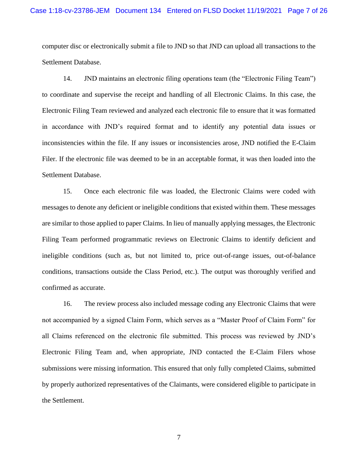computer disc or electronically submit a file to JND so that JND can upload all transactions to the Settlement Database.

14. JND maintains an electronic filing operations team (the "Electronic Filing Team") to coordinate and supervise the receipt and handling of all Electronic Claims. In this case, the Electronic Filing Team reviewed and analyzed each electronic file to ensure that it was formatted in accordance with JND's required format and to identify any potential data issues or inconsistencies within the file. If any issues or inconsistencies arose, JND notified the E-Claim Filer. If the electronic file was deemed to be in an acceptable format, it was then loaded into the Settlement Database.

15. Once each electronic file was loaded, the Electronic Claims were coded with messages to denote any deficient or ineligible conditions that existed within them. These messages are similar to those applied to paper Claims. In lieu of manually applying messages, the Electronic Filing Team performed programmatic reviews on Electronic Claims to identify deficient and ineligible conditions (such as, but not limited to, price out-of-range issues, out-of-balance conditions, transactions outside the Class Period, etc.). The output was thoroughly verified and confirmed as accurate.

16. The review process also included message coding any Electronic Claims that were not accompanied by a signed Claim Form, which serves as a "Master Proof of Claim Form" for all Claims referenced on the electronic file submitted. This process was reviewed by JND's Electronic Filing Team and, when appropriate, JND contacted the E-Claim Filers whose submissions were missing information. This ensured that only fully completed Claims, submitted by properly authorized representatives of the Claimants, were considered eligible to participate in the Settlement.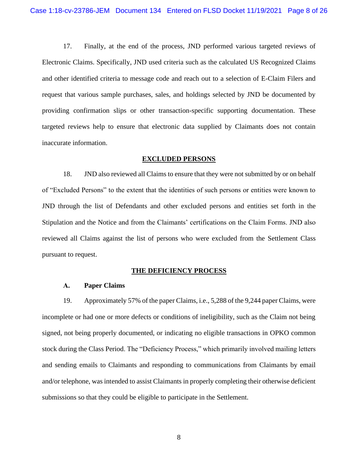17. Finally, at the end of the process, JND performed various targeted reviews of Electronic Claims. Specifically, JND used criteria such as the calculated US Recognized Claims and other identified criteria to message code and reach out to a selection of E-Claim Filers and request that various sample purchases, sales, and holdings selected by JND be documented by providing confirmation slips or other transaction-specific supporting documentation. These targeted reviews help to ensure that electronic data supplied by Claimants does not contain inaccurate information.

#### **EXCLUDED PERSONS**

18. JND also reviewed all Claims to ensure that they were not submitted by or on behalf of "Excluded Persons" to the extent that the identities of such persons or entities were known to JND through the list of Defendants and other excluded persons and entities set forth in the Stipulation and the Notice and from the Claimants' certifications on the Claim Forms. JND also reviewed all Claims against the list of persons who were excluded from the Settlement Class pursuant to request.

### **THE DEFICIENCY PROCESS**

# **A. Paper Claims**

19. Approximately 57% of the paper Claims, i.e., 5,288 of the 9,244 paper Claims, were incomplete or had one or more defects or conditions of ineligibility, such as the Claim not being signed, not being properly documented, or indicating no eligible transactions in OPKO common stock during the Class Period. The "Deficiency Process," which primarily involved mailing letters and sending emails to Claimants and responding to communications from Claimants by email and/or telephone, was intended to assist Claimants in properly completing their otherwise deficient submissions so that they could be eligible to participate in the Settlement.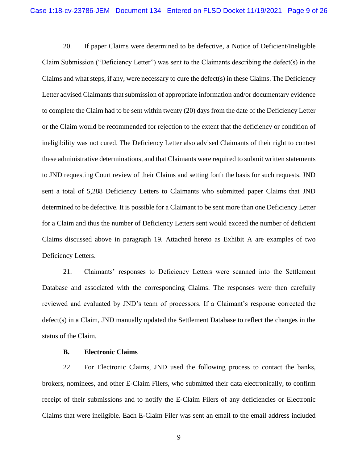20. If paper Claims were determined to be defective, a Notice of Deficient/Ineligible Claim Submission ("Deficiency Letter") was sent to the Claimants describing the defect(s) in the Claims and what steps, if any, were necessary to cure the defect(s) in these Claims. The Deficiency Letter advised Claimants that submission of appropriate information and/or documentary evidence to complete the Claim had to be sent within twenty (20) days from the date of the Deficiency Letter or the Claim would be recommended for rejection to the extent that the deficiency or condition of ineligibility was not cured. The Deficiency Letter also advised Claimants of their right to contest these administrative determinations, and that Claimants were required to submit written statements to JND requesting Court review of their Claims and setting forth the basis for such requests. JND sent a total of 5,288 Deficiency Letters to Claimants who submitted paper Claims that JND determined to be defective. It is possible for a Claimant to be sent more than one Deficiency Letter for a Claim and thus the number of Deficiency Letters sent would exceed the number of deficient Claims discussed above in paragraph 19. Attached hereto as Exhibit A are examples of two Deficiency Letters.

21. Claimants' responses to Deficiency Letters were scanned into the Settlement Database and associated with the corresponding Claims. The responses were then carefully reviewed and evaluated by JND's team of processors. If a Claimant's response corrected the defect(s) in a Claim, JND manually updated the Settlement Database to reflect the changes in the status of the Claim.

## **B. Electronic Claims**

22. For Electronic Claims, JND used the following process to contact the banks, brokers, nominees, and other E-Claim Filers, who submitted their data electronically, to confirm receipt of their submissions and to notify the E-Claim Filers of any deficiencies or Electronic Claims that were ineligible. Each E-Claim Filer was sent an email to the email address included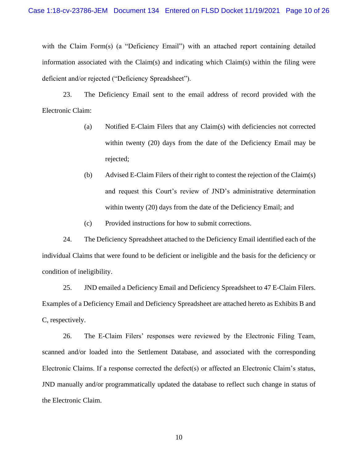with the Claim Form(s) (a "Deficiency Email") with an attached report containing detailed information associated with the Claim(s) and indicating which Claim(s) within the filing were deficient and/or rejected ("Deficiency Spreadsheet").

23. The Deficiency Email sent to the email address of record provided with the Electronic Claim:

- (a) Notified E-Claim Filers that any Claim(s) with deficiencies not corrected within twenty (20) days from the date of the Deficiency Email may be rejected;
- (b) Advised E-Claim Filers of their right to contest the rejection of the Claim(s) and request this Court's review of JND's administrative determination within twenty (20) days from the date of the Deficiency Email; and
- (c) Provided instructions for how to submit corrections.

24. The Deficiency Spreadsheet attached to the Deficiency Email identified each of the individual Claims that were found to be deficient or ineligible and the basis for the deficiency or condition of ineligibility.

25. JND emailed a Deficiency Email and Deficiency Spreadsheet to 47 E-Claim Filers. Examples of a Deficiency Email and Deficiency Spreadsheet are attached hereto as Exhibits B and C, respectively.

26. The E-Claim Filers' responses were reviewed by the Electronic Filing Team, scanned and/or loaded into the Settlement Database, and associated with the corresponding Electronic Claims. If a response corrected the defect(s) or affected an Electronic Claim's status, JND manually and/or programmatically updated the database to reflect such change in status of the Electronic Claim.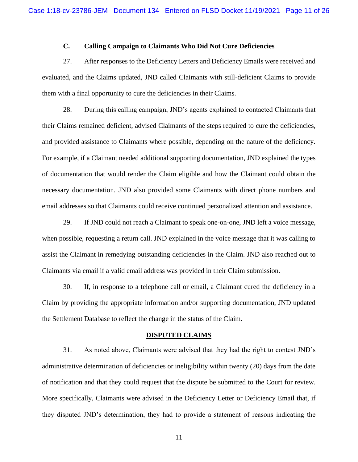# **C. Calling Campaign to Claimants Who Did Not Cure Deficiencies**

27. After responses to the Deficiency Letters and Deficiency Emails were received and evaluated, and the Claims updated, JND called Claimants with still-deficient Claims to provide them with a final opportunity to cure the deficiencies in their Claims.

28. During this calling campaign, JND's agents explained to contacted Claimants that their Claims remained deficient, advised Claimants of the steps required to cure the deficiencies, and provided assistance to Claimants where possible, depending on the nature of the deficiency. For example, if a Claimant needed additional supporting documentation, JND explained the types of documentation that would render the Claim eligible and how the Claimant could obtain the necessary documentation. JND also provided some Claimants with direct phone numbers and email addresses so that Claimants could receive continued personalized attention and assistance.

29. If JND could not reach a Claimant to speak one-on-one, JND left a voice message, when possible, requesting a return call. JND explained in the voice message that it was calling to assist the Claimant in remedying outstanding deficiencies in the Claim. JND also reached out to Claimants via email if a valid email address was provided in their Claim submission.

30. If, in response to a telephone call or email, a Claimant cured the deficiency in a Claim by providing the appropriate information and/or supporting documentation, JND updated the Settlement Database to reflect the change in the status of the Claim.

#### **DISPUTED CLAIMS**

31. As noted above, Claimants were advised that they had the right to contest JND's administrative determination of deficiencies or ineligibility within twenty (20) days from the date of notification and that they could request that the dispute be submitted to the Court for review. More specifically, Claimants were advised in the Deficiency Letter or Deficiency Email that, if they disputed JND's determination, they had to provide a statement of reasons indicating the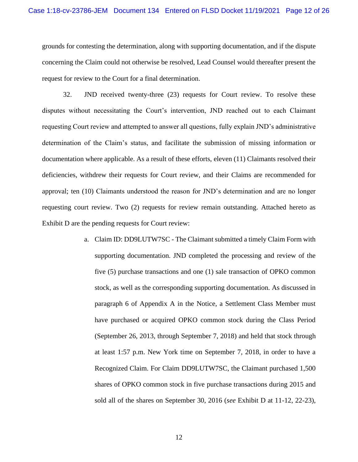grounds for contesting the determination, along with supporting documentation, and if the dispute concerning the Claim could not otherwise be resolved, Lead Counsel would thereafter present the request for review to the Court for a final determination.

32. JND received twenty-three (23) requests for Court review. To resolve these disputes without necessitating the Court's intervention, JND reached out to each Claimant requesting Court review and attempted to answer all questions, fully explain JND's administrative determination of the Claim's status, and facilitate the submission of missing information or documentation where applicable. As a result of these efforts, eleven (11) Claimants resolved their deficiencies, withdrew their requests for Court review, and their Claims are recommended for approval; ten (10) Claimants understood the reason for JND's determination and are no longer requesting court review. Two (2) requests for review remain outstanding. Attached hereto as Exhibit D are the pending requests for Court review:

> a. Claim ID: DD9LUTW7SC - The Claimant submitted a timely Claim Form with supporting documentation. JND completed the processing and review of the five (5) purchase transactions and one (1) sale transaction of OPKO common stock, as well as the corresponding supporting documentation. As discussed in paragraph 6 of Appendix A in the Notice, a Settlement Class Member must have purchased or acquired OPKO common stock during the Class Period (September 26, 2013, through September 7, 2018) and held that stock through at least 1:57 p.m. New York time on September 7, 2018, in order to have a Recognized Claim. For Claim DD9LUTW7SC, the Claimant purchased 1,500 shares of OPKO common stock in five purchase transactions during 2015 and sold all of the shares on September 30, 2016 (*see* Exhibit D at 11-12, 22-23),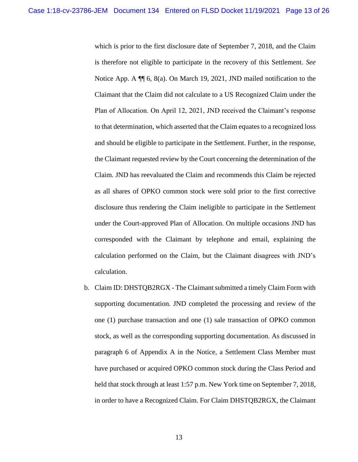which is prior to the first disclosure date of September 7, 2018, and the Claim is therefore not eligible to participate in the recovery of this Settlement. *See*  Notice App. A  $\P$  6, 8(a). On March 19, 2021, JND mailed notification to the Claimant that the Claim did not calculate to a US Recognized Claim under the Plan of Allocation. On April 12, 2021, JND received the Claimant's response to that determination, which asserted that the Claim equates to a recognized loss and should be eligible to participate in the Settlement. Further, in the response, the Claimant requested review by the Court concerning the determination of the Claim. JND has reevaluated the Claim and recommends this Claim be rejected as all shares of OPKO common stock were sold prior to the first corrective disclosure thus rendering the Claim ineligible to participate in the Settlement under the Court-approved Plan of Allocation. On multiple occasions JND has corresponded with the Claimant by telephone and email, explaining the calculation performed on the Claim, but the Claimant disagrees with JND's calculation.

b. Claim ID: DHSTQB2RGX - The Claimant submitted a timely Claim Form with supporting documentation. JND completed the processing and review of the one (1) purchase transaction and one (1) sale transaction of OPKO common stock, as well as the corresponding supporting documentation. As discussed in paragraph 6 of Appendix A in the Notice, a Settlement Class Member must have purchased or acquired OPKO common stock during the Class Period and held that stock through at least 1:57 p.m. New York time on September 7, 2018, in order to have a Recognized Claim. For Claim DHSTQB2RGX, the Claimant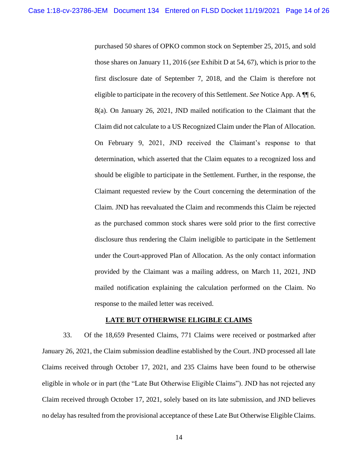purchased 50 shares of OPKO common stock on September 25, 2015, and sold those shares on January 11, 2016 (*see* Exhibit D at 54, 67), which is prior to the first disclosure date of September 7, 2018, and the Claim is therefore not eligible to participate in the recovery of this Settlement. *See* Notice App. A ¶¶ 6, 8(a). On January 26, 2021, JND mailed notification to the Claimant that the Claim did not calculate to a US Recognized Claim under the Plan of Allocation. On February 9, 2021, JND received the Claimant's response to that determination, which asserted that the Claim equates to a recognized loss and should be eligible to participate in the Settlement. Further, in the response, the Claimant requested review by the Court concerning the determination of the Claim. JND has reevaluated the Claim and recommends this Claim be rejected as the purchased common stock shares were sold prior to the first corrective disclosure thus rendering the Claim ineligible to participate in the Settlement under the Court-approved Plan of Allocation. As the only contact information provided by the Claimant was a mailing address, on March 11, 2021, JND mailed notification explaining the calculation performed on the Claim. No response to the mailed letter was received.

#### **LATE BUT OTHERWISE ELIGIBLE CLAIMS**

33. Of the 18,659 Presented Claims, 771 Claims were received or postmarked after January 26, 2021, the Claim submission deadline established by the Court. JND processed all late Claims received through October 17, 2021, and 235 Claims have been found to be otherwise eligible in whole or in part (the "Late But Otherwise Eligible Claims"). JND has not rejected any Claim received through October 17, 2021, solely based on its late submission, and JND believes no delay has resulted from the provisional acceptance of these Late But Otherwise Eligible Claims.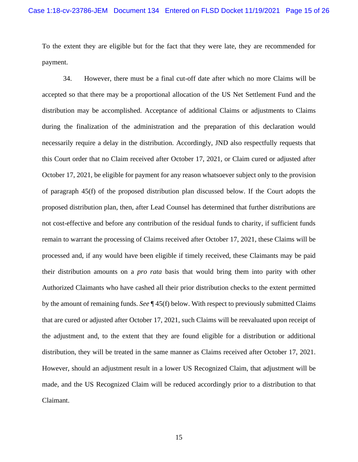To the extent they are eligible but for the fact that they were late, they are recommended for payment.

34. However, there must be a final cut-off date after which no more Claims will be accepted so that there may be a proportional allocation of the US Net Settlement Fund and the distribution may be accomplished. Acceptance of additional Claims or adjustments to Claims during the finalization of the administration and the preparation of this declaration would necessarily require a delay in the distribution. Accordingly, JND also respectfully requests that this Court order that no Claim received after October 17, 2021, or Claim cured or adjusted after October 17, 2021, be eligible for payment for any reason whatsoever subject only to the provision of paragraph 45(f) of the proposed distribution plan discussed below. If the Court adopts the proposed distribution plan, then, after Lead Counsel has determined that further distributions are not cost-effective and before any contribution of the residual funds to charity, if sufficient funds remain to warrant the processing of Claims received after October 17, 2021, these Claims will be processed and, if any would have been eligible if timely received, these Claimants may be paid their distribution amounts on a *pro rata* basis that would bring them into parity with other Authorized Claimants who have cashed all their prior distribution checks to the extent permitted by the amount of remaining funds. *See* ¶ 45(f) below. With respect to previously submitted Claims that are cured or adjusted after October 17, 2021, such Claims will be reevaluated upon receipt of the adjustment and, to the extent that they are found eligible for a distribution or additional distribution, they will be treated in the same manner as Claims received after October 17, 2021. However, should an adjustment result in a lower US Recognized Claim, that adjustment will be made, and the US Recognized Claim will be reduced accordingly prior to a distribution to that Claimant.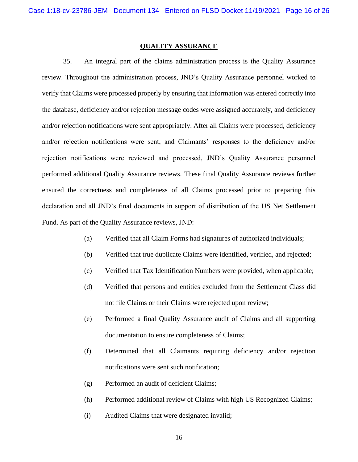#### **QUALITY ASSURANCE**

35. An integral part of the claims administration process is the Quality Assurance review. Throughout the administration process, JND's Quality Assurance personnel worked to verify that Claims were processed properly by ensuring that information was entered correctly into the database, deficiency and/or rejection message codes were assigned accurately, and deficiency and/or rejection notifications were sent appropriately. After all Claims were processed, deficiency and/or rejection notifications were sent, and Claimants' responses to the deficiency and/or rejection notifications were reviewed and processed, JND's Quality Assurance personnel performed additional Quality Assurance reviews. These final Quality Assurance reviews further ensured the correctness and completeness of all Claims processed prior to preparing this declaration and all JND's final documents in support of distribution of the US Net Settlement Fund. As part of the Quality Assurance reviews, JND:

- (a) Verified that all Claim Forms had signatures of authorized individuals;
- (b) Verified that true duplicate Claims were identified, verified, and rejected;
- (c) Verified that Tax Identification Numbers were provided, when applicable;
- (d) Verified that persons and entities excluded from the Settlement Class did not file Claims or their Claims were rejected upon review;
- (e) Performed a final Quality Assurance audit of Claims and all supporting documentation to ensure completeness of Claims;
- (f) Determined that all Claimants requiring deficiency and/or rejection notifications were sent such notification;
- (g) Performed an audit of deficient Claims;
- (h) Performed additional review of Claims with high US Recognized Claims;
- (i) Audited Claims that were designated invalid;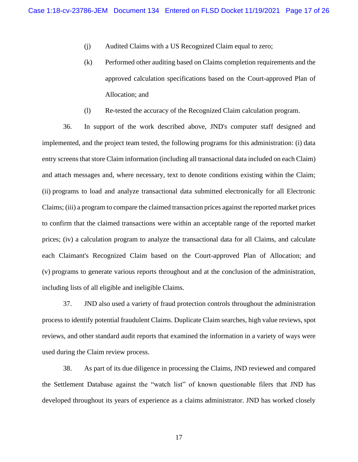- (j) Audited Claims with a US Recognized Claim equal to zero;
- (k) Performed other auditing based on Claims completion requirements and the approved calculation specifications based on the Court-approved Plan of Allocation; and
- (l) Re-tested the accuracy of the Recognized Claim calculation program.

36. In support of the work described above, JND's computer staff designed and implemented, and the project team tested, the following programs for this administration: (i) data entry screens that store Claim information (including all transactional data included on each Claim) and attach messages and, where necessary, text to denote conditions existing within the Claim; (ii) programs to load and analyze transactional data submitted electronically for all Electronic Claims; (iii) a program to compare the claimed transaction prices against the reported market prices to confirm that the claimed transactions were within an acceptable range of the reported market prices; (iv) a calculation program to analyze the transactional data for all Claims, and calculate each Claimant's Recognized Claim based on the Court-approved Plan of Allocation; and (v) programs to generate various reports throughout and at the conclusion of the administration, including lists of all eligible and ineligible Claims.

37. JND also used a variety of fraud protection controls throughout the administration process to identify potential fraudulent Claims. Duplicate Claim searches, high value reviews, spot reviews, and other standard audit reports that examined the information in a variety of ways were used during the Claim review process.

38. As part of its due diligence in processing the Claims, JND reviewed and compared the Settlement Database against the "watch list" of known questionable filers that JND has developed throughout its years of experience as a claims administrator. JND has worked closely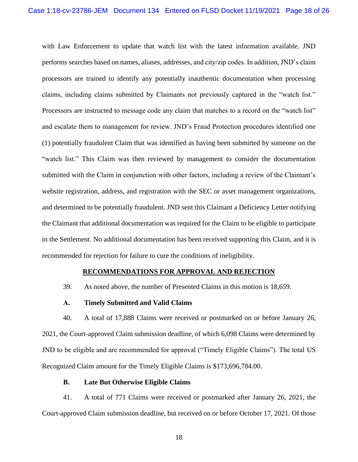with Law Enforcement to update that watch list with the latest information available. JND performs searches based on names, aliases, addresses, and city/zip codes. In addition, JND's claim processors are trained to identify any potentially inauthentic documentation when processing claims, including claims submitted by Claimants not previously captured in the "watch list." Processors are instructed to message code any claim that matches to a record on the "watch list" and escalate them to management for review. JND's Fraud Protection procedures identified one (1) potentially fraudulent Claim that was identified as having been submitted by someone on the "watch list." This Claim was then reviewed by management to consider the documentation submitted with the Claim in conjunction with other factors, including a review of the Claimant's website registration, address, and registration with the SEC or asset management organizations, and determined to be potentially fraudulent. JND sent this Claimant a Deficiency Letter notifying the Claimant that additional documentation was required for the Claim to be eligible to participate in the Settlement. No additional documentation has been received supporting this Claim, and it is recommended for rejection for failure to cure the conditions of ineligibility.

#### **RECOMMENDATIONS FOR APPROVAL AND REJECTION**

39. As noted above, the number of Presented Claims in this motion is 18,659.

## **A. Timely Submitted and Valid Claims**

40. A total of 17,888 Claims were received or postmarked on or before January 26, 2021, the Court-approved Claim submission deadline, of which 6,098 Claims were determined by JND to be eligible and are recommended for approval ("Timely Eligible Claims"). The total US Recognized Claim amount for the Timely Eligible Claims is \$173,696,784.00.

#### **B. Late But Otherwise Eligible Claims**

41. A total of 771 Claims were received or postmarked after January 26, 2021, the Court-approved Claim submission deadline, but received on or before October 17, 2021. Of those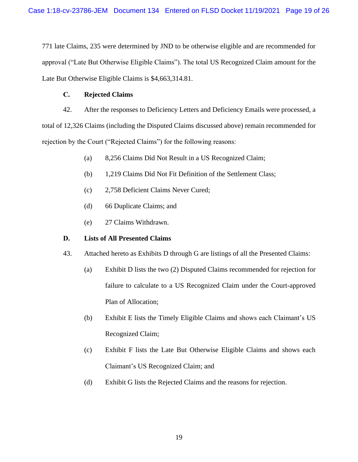771 late Claims, 235 were determined by JND to be otherwise eligible and are recommended for approval ("Late But Otherwise Eligible Claims"). The total US Recognized Claim amount for the Late But Otherwise Eligible Claims is \$4,663,314.81.

# **C. Rejected Claims**

42. After the responses to Deficiency Letters and Deficiency Emails were processed, a total of 12,326 Claims (including the Disputed Claims discussed above) remain recommended for rejection by the Court ("Rejected Claims") for the following reasons:

- (a) 8,256 Claims Did Not Result in a US Recognized Claim;
- (b) 1,219 Claims Did Not Fit Definition of the Settlement Class;
- (c) 2,758 Deficient Claims Never Cured;
- (d) 66 Duplicate Claims; and
- (e) 27 Claims Withdrawn.

# **D. Lists of All Presented Claims**

- 43. Attached hereto as Exhibits D through G are listings of all the Presented Claims:
	- (a) Exhibit D lists the two (2) Disputed Claims recommended for rejection for failure to calculate to a US Recognized Claim under the Court-approved Plan of Allocation;
	- (b) Exhibit E lists the Timely Eligible Claims and shows each Claimant's US Recognized Claim;
	- (c) Exhibit F lists the Late But Otherwise Eligible Claims and shows each Claimant's US Recognized Claim; and
	- (d) Exhibit G lists the Rejected Claims and the reasons for rejection.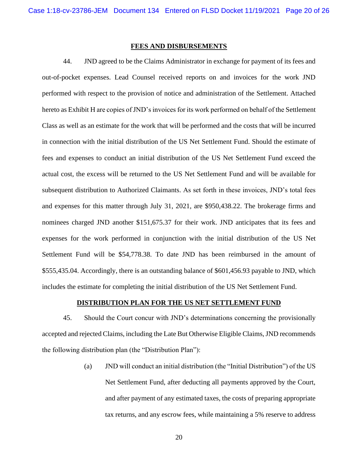#### **FEES AND DISBURSEMENTS**

44. JND agreed to be the Claims Administrator in exchange for payment of its fees and out-of-pocket expenses. Lead Counsel received reports on and invoices for the work JND performed with respect to the provision of notice and administration of the Settlement. Attached hereto as Exhibit H are copies of JND's invoices for its work performed on behalf of the Settlement Class as well as an estimate for the work that will be performed and the costs that will be incurred in connection with the initial distribution of the US Net Settlement Fund. Should the estimate of fees and expenses to conduct an initial distribution of the US Net Settlement Fund exceed the actual cost, the excess will be returned to the US Net Settlement Fund and will be available for subsequent distribution to Authorized Claimants. As set forth in these invoices, JND's total fees and expenses for this matter through July 31, 2021, are \$950,438.22. The brokerage firms and nominees charged JND another \$151,675.37 for their work. JND anticipates that its fees and expenses for the work performed in conjunction with the initial distribution of the US Net Settlement Fund will be \$54,778.38. To date JND has been reimbursed in the amount of \$555,435.04. Accordingly, there is an outstanding balance of \$601,456.93 payable to JND, which includes the estimate for completing the initial distribution of the US Net Settlement Fund.

## **DISTRIBUTION PLAN FOR THE US NET SETTLEMENT FUND**

45. Should the Court concur with JND's determinations concerning the provisionally accepted and rejected Claims, including the Late But Otherwise Eligible Claims, JND recommends the following distribution plan (the "Distribution Plan"):

> (a) JND will conduct an initial distribution (the "Initial Distribution") of the US Net Settlement Fund, after deducting all payments approved by the Court, and after payment of any estimated taxes, the costs of preparing appropriate tax returns, and any escrow fees, while maintaining a 5% reserve to address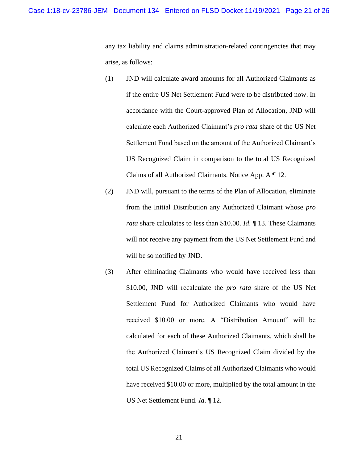any tax liability and claims administration-related contingencies that may arise, as follows:

- (1) JND will calculate award amounts for all Authorized Claimants as if the entire US Net Settlement Fund were to be distributed now. In accordance with the Court-approved Plan of Allocation, JND will calculate each Authorized Claimant's *pro rata* share of the US Net Settlement Fund based on the amount of the Authorized Claimant's US Recognized Claim in comparison to the total US Recognized Claims of all Authorized Claimants. Notice App. A ¶ 12.
- (2) JND will, pursuant to the terms of the Plan of Allocation, eliminate from the Initial Distribution any Authorized Claimant whose *pro rata* share calculates to less than \$10.00. *Id*. ¶ 13. These Claimants will not receive any payment from the US Net Settlement Fund and will be so notified by JND.
- (3) After eliminating Claimants who would have received less than \$10.00, JND will recalculate the *pro rata* share of the US Net Settlement Fund for Authorized Claimants who would have received \$10.00 or more. A "Distribution Amount" will be calculated for each of these Authorized Claimants, which shall be the Authorized Claimant's US Recognized Claim divided by the total US Recognized Claims of all Authorized Claimants who would have received \$10.00 or more, multiplied by the total amount in the US Net Settlement Fund. *Id*. ¶ 12.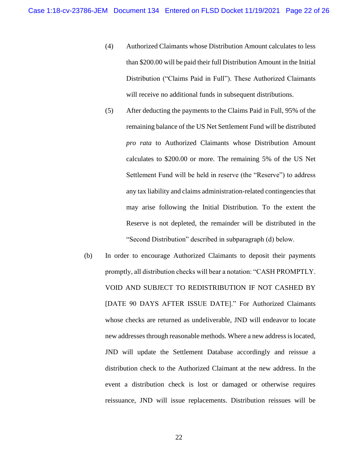- (4) Authorized Claimants whose Distribution Amount calculates to less than \$200.00 will be paid their full Distribution Amount in the Initial Distribution ("Claims Paid in Full"). These Authorized Claimants will receive no additional funds in subsequent distributions.
- (5) After deducting the payments to the Claims Paid in Full, 95% of the remaining balance of the US Net Settlement Fund will be distributed *pro rata* to Authorized Claimants whose Distribution Amount calculates to \$200.00 or more. The remaining 5% of the US Net Settlement Fund will be held in reserve (the "Reserve") to address any tax liability and claims administration-related contingencies that may arise following the Initial Distribution. To the extent the Reserve is not depleted, the remainder will be distributed in the "Second Distribution" described in subparagraph (d) below.
- (b) In order to encourage Authorized Claimants to deposit their payments promptly, all distribution checks will bear a notation: "CASH PROMPTLY. VOID AND SUBJECT TO REDISTRIBUTION IF NOT CASHED BY [DATE 90 DAYS AFTER ISSUE DATE]." For Authorized Claimants whose checks are returned as undeliverable, JND will endeavor to locate new addresses through reasonable methods. Where a new address is located, JND will update the Settlement Database accordingly and reissue a distribution check to the Authorized Claimant at the new address. In the event a distribution check is lost or damaged or otherwise requires reissuance, JND will issue replacements. Distribution reissues will be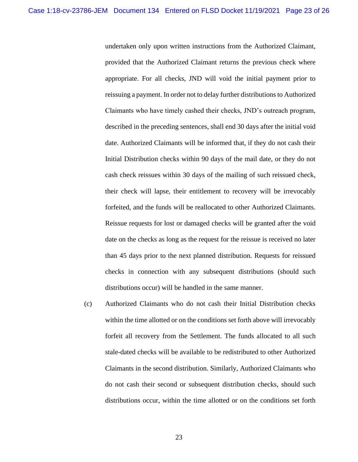undertaken only upon written instructions from the Authorized Claimant, provided that the Authorized Claimant returns the previous check where appropriate. For all checks, JND will void the initial payment prior to reissuing a payment. In order not to delay further distributions to Authorized Claimants who have timely cashed their checks, JND's outreach program, described in the preceding sentences, shall end 30 days after the initial void date. Authorized Claimants will be informed that, if they do not cash their Initial Distribution checks within 90 days of the mail date, or they do not cash check reissues within 30 days of the mailing of such reissued check, their check will lapse, their entitlement to recovery will be irrevocably forfeited, and the funds will be reallocated to other Authorized Claimants. Reissue requests for lost or damaged checks will be granted after the void date on the checks as long as the request for the reissue is received no later than 45 days prior to the next planned distribution. Requests for reissued checks in connection with any subsequent distributions (should such distributions occur) will be handled in the same manner.

(c) Authorized Claimants who do not cash their Initial Distribution checks within the time allotted or on the conditions set forth above will irrevocably forfeit all recovery from the Settlement. The funds allocated to all such stale-dated checks will be available to be redistributed to other Authorized Claimants in the second distribution. Similarly, Authorized Claimants who do not cash their second or subsequent distribution checks, should such distributions occur, within the time allotted or on the conditions set forth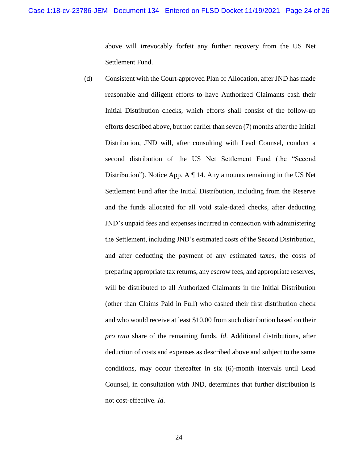above will irrevocably forfeit any further recovery from the US Net Settlement Fund.

(d) Consistent with the Court-approved Plan of Allocation, after JND has made reasonable and diligent efforts to have Authorized Claimants cash their Initial Distribution checks, which efforts shall consist of the follow-up efforts described above, but not earlier than seven (7) months after the Initial Distribution, JND will, after consulting with Lead Counsel, conduct a second distribution of the US Net Settlement Fund (the "Second Distribution"). Notice App. A ¶ 14. Any amounts remaining in the US Net Settlement Fund after the Initial Distribution, including from the Reserve and the funds allocated for all void stale-dated checks, after deducting JND's unpaid fees and expenses incurred in connection with administering the Settlement, including JND's estimated costs of the Second Distribution, and after deducting the payment of any estimated taxes, the costs of preparing appropriate tax returns, any escrow fees, and appropriate reserves, will be distributed to all Authorized Claimants in the Initial Distribution (other than Claims Paid in Full) who cashed their first distribution check and who would receive at least \$10.00 from such distribution based on their *pro rata* share of the remaining funds. *Id*. Additional distributions, after deduction of costs and expenses as described above and subject to the same conditions, may occur thereafter in six (6)-month intervals until Lead Counsel, in consultation with JND, determines that further distribution is not cost-effective. *Id*.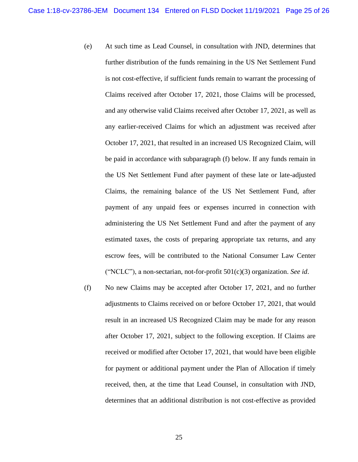- (e) At such time as Lead Counsel, in consultation with JND, determines that further distribution of the funds remaining in the US Net Settlement Fund is not cost-effective, if sufficient funds remain to warrant the processing of Claims received after October 17, 2021, those Claims will be processed, and any otherwise valid Claims received after October 17, 2021, as well as any earlier-received Claims for which an adjustment was received after October 17, 2021, that resulted in an increased US Recognized Claim, will be paid in accordance with subparagraph (f) below. If any funds remain in the US Net Settlement Fund after payment of these late or late-adjusted Claims, the remaining balance of the US Net Settlement Fund, after payment of any unpaid fees or expenses incurred in connection with administering the US Net Settlement Fund and after the payment of any estimated taxes, the costs of preparing appropriate tax returns, and any escrow fees, will be contributed to the National Consumer Law Center ("NCLC"), a non-sectarian, not-for-profit 501(c)(3) organization. *See id*.
- (f) No new Claims may be accepted after October 17, 2021, and no further adjustments to Claims received on or before October 17, 2021, that would result in an increased US Recognized Claim may be made for any reason after October 17, 2021, subject to the following exception. If Claims are received or modified after October 17, 2021, that would have been eligible for payment or additional payment under the Plan of Allocation if timely received, then, at the time that Lead Counsel, in consultation with JND, determines that an additional distribution is not cost-effective as provided